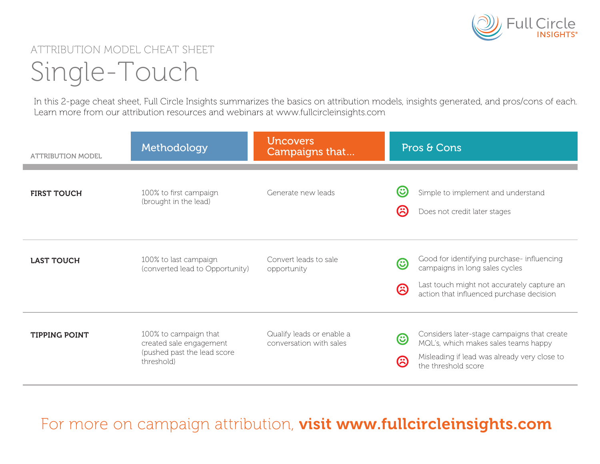

## ATTRIBUTION MODEL CHEAT SHEET Single-Touch

In this 2-page cheat sheet, Full Circle Insights summarizes the basics on attribution models, insights generated, and pros/cons of each. Learn more from our attribution resources and webinars at www.fullcircleinsights.com

| <b>ATTRIBUTION MODEL</b> | Methodology                                                                                   | <b>Uncovers</b><br>Campaigns that                    | Pros & Cons                                                                                                                                                                       |
|--------------------------|-----------------------------------------------------------------------------------------------|------------------------------------------------------|-----------------------------------------------------------------------------------------------------------------------------------------------------------------------------------|
| <b>FIRST TOUCH</b>       | 100% to first campaign<br>(brought in the lead)                                               | Generate new leads                                   | $\mathbf \Theta$<br>Simple to implement and understand<br>$\boldsymbol{\varnothing}$<br>Does not credit later stages                                                              |
| <b>LAST TOUCH</b>        | 100% to last campaign<br>(converted lead to Opportunity)                                      | Convert leads to sale<br>opportunity                 | Good for identifying purchase- influencing<br>☺<br>campaigns in long sales cycles<br>Last touch might not accurately capture an<br>ශි<br>action that influenced purchase decision |
| <b>TIPPING POINT</b>     | 100% to campaign that<br>created sale engagement<br>(pushed past the lead score<br>threshold) | Qualify leads or enable a<br>conversation with sales | Considers later-stage campaigns that create<br>$\odot$<br>MQL's, which makes sales teams happy<br>Misleading if lead was already very close to<br>ශ<br>the threshold score        |

For more on campaign attribution, visit www.fullcircleinsights.com